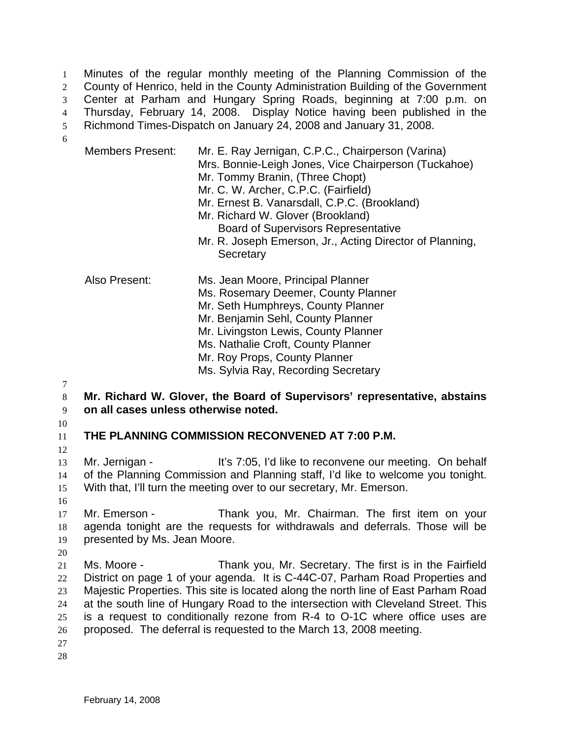Minutes of the regular monthly meeting of the Planning Commission of the County of Henrico, held in the County Administration Building of the Government Center at Parham and Hungary Spring Roads, beginning at 7:00 p.m. on Thursday, February 14, 2008. Display Notice having been published in the Richmond Times-Dispatch on January 24, 2008 and January 31, 2008. 1  $2<sup>2</sup>$ 3 4 5

6

| <b>Members Present:</b> | Mr. E. Ray Jernigan, C.P.C., Chairperson (Varina)<br>Mrs. Bonnie-Leigh Jones, Vice Chairperson (Tuckahoe)<br>Mr. Tommy Branin, (Three Chopt)<br>Mr. C. W. Archer, C.P.C. (Fairfield)<br>Mr. Ernest B. Vanarsdall, C.P.C. (Brookland)<br>Mr. Richard W. Glover (Brookland)<br><b>Board of Supervisors Representative</b><br>Mr. R. Joseph Emerson, Jr., Acting Director of Planning,<br>Secretary |
|-------------------------|--------------------------------------------------------------------------------------------------------------------------------------------------------------------------------------------------------------------------------------------------------------------------------------------------------------------------------------------------------------------------------------------------|
| Also Present:           | Ms. Jean Moore, Principal Planner<br>Ms. Rosemary Deemer, County Planner<br>Mr. Seth Humphreys, County Planner<br>Mr. Benjamin Sehl, County Planner<br>Mr. Livingston Lewis, County Planner<br>Ms. Nathalie Croft, County Planner<br>Mr. Roy Props, County Planner<br>Ms. Sylvia Ray, Recording Secretary                                                                                        |

7

8 9 **Mr. Richard W. Glover, the Board of Supervisors' representative, abstains on all cases unless otherwise noted.** 

10

11 **THE PLANNING COMMISSION RECONVENED AT 7:00 P.M.** 

12

13 14 15 Mr. Jernigan - It's 7:05, I'd like to reconvene our meeting. On behalf of the Planning Commission and Planning staff, I'd like to welcome you tonight. With that, I'll turn the meeting over to our secretary, Mr. Emerson.

16

17 18 19 Mr. Emerson - Thank you, Mr. Chairman. The first item on your agenda tonight are the requests for withdrawals and deferrals. Those will be presented by Ms. Jean Moore.

20

21 22 23 24 25 26 Ms. Moore - Thank you, Mr. Secretary. The first is in the Fairfield District on page 1 of your agenda. It is C-44C-07, Parham Road Properties and Majestic Properties. This site is located along the north line of East Parham Road at the south line of Hungary Road to the intersection with Cleveland Street. This is a request to conditionally rezone from R-4 to O-1C where office uses are proposed. The deferral is requested to the March 13, 2008 meeting.

27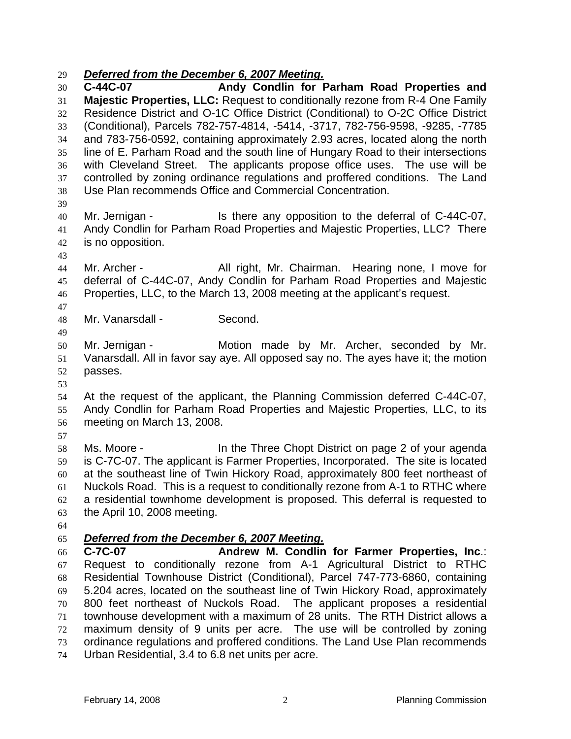## 29 *Deferred from the December 6, 2007 Meeting.*

30 31 32 33 34 35 36 37 38 39 40 41 42 43 44 45 46 47 48 49 50 51 52 53 54 55 56 57 58 59 60 61 62 63 64 **C-44C-07 Andy Condlin for Parham Road Properties and Majestic Properties, LLC:** Request to conditionally rezone from R-4 One Family Residence District and O-1C Office District (Conditional) to O-2C Office District (Conditional), Parcels 782-757-4814, -5414, -3717, 782-756-9598, -9285, -7785 and 783-756-0592, containing approximately 2.93 acres, located along the north line of E. Parham Road and the south line of Hungary Road to their intersections with Cleveland Street. The applicants propose office uses. The use will be controlled by zoning ordinance regulations and proffered conditions. The Land Use Plan recommends Office and Commercial Concentration. Mr. Jernigan - The Stephen any opposition to the deferral of C-44C-07, Andy Condlin for Parham Road Properties and Majestic Properties, LLC? There is no opposition. Mr. Archer - All right, Mr. Chairman. Hearing none, I move for deferral of C-44C-07, Andy Condlin for Parham Road Properties and Majestic Properties, LLC, to the March 13, 2008 meeting at the applicant's request. Mr. Vanarsdall - Second. Mr. Jernigan - The Motion made by Mr. Archer, seconded by Mr. Vanarsdall. All in favor say aye. All opposed say no. The ayes have it; the motion passes. At the request of the applicant, the Planning Commission deferred C-44C-07, Andy Condlin for Parham Road Properties and Majestic Properties, LLC, to its meeting on March 13, 2008. Ms. Moore - In the Three Chopt District on page 2 of your agenda is C-7C-07. The applicant is Farmer Properties, Incorporated. The site is located at the southeast line of Twin Hickory Road, approximately 800 feet northeast of Nuckols Road. This is a request to conditionally rezone from A-1 to RTHC where a residential townhome development is proposed. This deferral is requested to the April 10, 2008 meeting. 65 *Deferred from the December 6, 2007 Meeting.* 66 67 68 69 70 71 72 **C-7C-07 Andrew M. Condlin for Farmer Properties, Inc**.: Request to conditionally rezone from A-1 Agricultural District to RTHC Residential Townhouse District (Conditional), Parcel 747-773-6860, containing 5.204 acres, located on the southeast line of Twin Hickory Road, approximately 800 feet northeast of Nuckols Road. The applicant proposes a residential townhouse development with a maximum of 28 units. The RTH District allows a maximum density of 9 units per acre. The use will be controlled by zoning

- 73 ordinance regulations and proffered conditions. The Land Use Plan recommends
- 74 Urban Residential, 3.4 to 6.8 net units per acre.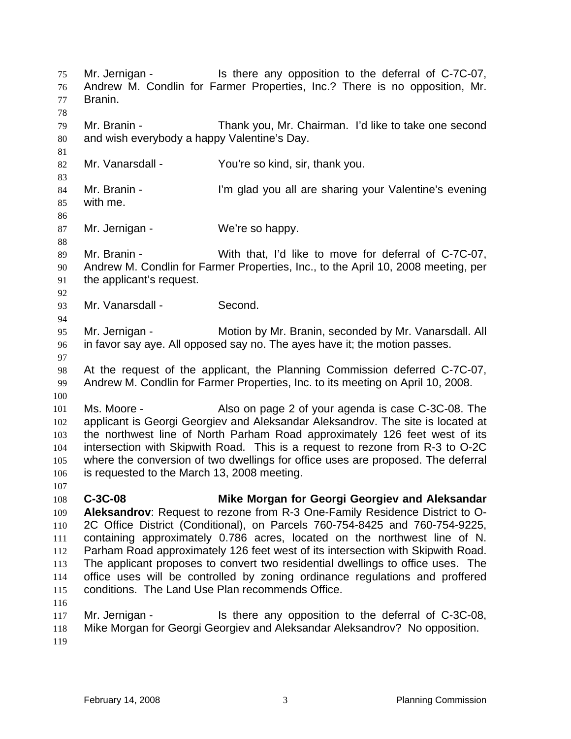Mr. Jernigan - The state any opposition to the deferral of C-7C-07, Andrew M. Condlin for Farmer Properties, Inc.? There is no opposition, Mr. Branin. 75 76 77 78 79 80 81 82 83 84 85 86 87 88 89 90 91 92 93 94 95 96 97 98 99 100 101 102 103 104 105 106 107 108 109 110 111 112 113 114 115 116 117 118 119 Mr. Branin - Thank you, Mr. Chairman. I'd like to take one second and wish everybody a happy Valentine's Day. Mr. Vanarsdall - You're so kind, sir, thank you. Mr. Branin - I'm glad you all are sharing your Valentine's evening with me. Mr. Jernigan - We're so happy. Mr. Branin - With that, I'd like to move for deferral of C-7C-07, Andrew M. Condlin for Farmer Properties, Inc., to the April 10, 2008 meeting, per the applicant's request. Mr. Vanarsdall - Second. Mr. Jernigan - Motion by Mr. Branin, seconded by Mr. Vanarsdall. All in favor say aye. All opposed say no. The ayes have it; the motion passes. At the request of the applicant, the Planning Commission deferred C-7C-07, Andrew M. Condlin for Farmer Properties, Inc. to its meeting on April 10, 2008. Ms. Moore - The Also on page 2 of your agenda is case C-3C-08. The applicant is Georgi Georgiev and Aleksandar Aleksandrov. The site is located at the northwest line of North Parham Road approximately 126 feet west of its intersection with Skipwith Road. This is a request to rezone from R-3 to O-2C where the conversion of two dwellings for office uses are proposed. The deferral is requested to the March 13, 2008 meeting. **C-3C-08 Mike Morgan for Georgi Georgiev and Aleksandar Aleksandrov**: Request to rezone from R-3 One-Family Residence District to O-2C Office District (Conditional), on Parcels 760-754-8425 and 760-754-9225, containing approximately 0.786 acres, located on the northwest line of N. Parham Road approximately 126 feet west of its intersection with Skipwith Road. The applicant proposes to convert two residential dwellings to office uses. The office uses will be controlled by zoning ordinance regulations and proffered conditions. The Land Use Plan recommends Office. Mr. Jernigan - Is there any opposition to the deferral of C-3C-08, Mike Morgan for Georgi Georgiev and Aleksandar Aleksandrov? No opposition.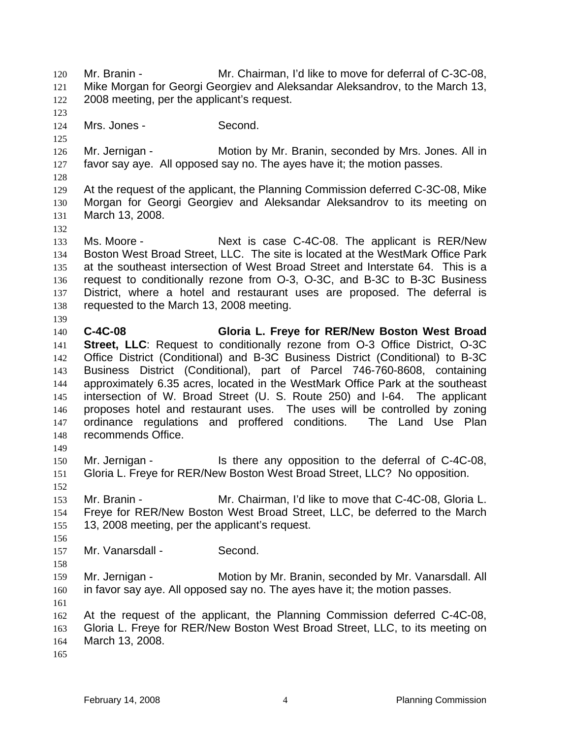Mr. Branin - Mr. Chairman, I'd like to move for deferral of C-3C-08, Mike Morgan for Georgi Georgiev and Aleksandar Aleksandrov, to the March 13, 2008 meeting, per the applicant's request. 120 121 122 123 124 125 126 127 128 129 130 131 132 133 134 135 136 137 138 139 140 141 142 143 144 145 146 147 148 149 150 151 152 153 154 155 156 157 158 159 160 161 162 163 164 165 Mrs. Jones - Second. Mr. Jernigan - **Motion by Mr. Branin, seconded by Mrs. Jones. All in** favor say aye. All opposed say no. The ayes have it; the motion passes. At the request of the applicant, the Planning Commission deferred C-3C-08, Mike Morgan for Georgi Georgiev and Aleksandar Aleksandrov to its meeting on March 13, 2008. Ms. Moore - The Next is case C-4C-08. The applicant is RER/New Boston West Broad Street, LLC. The site is located at the WestMark Office Park at the southeast intersection of West Broad Street and Interstate 64. This is a request to conditionally rezone from O-3, O-3C, and B-3C to B-3C Business District, where a hotel and restaurant uses are proposed. The deferral is requested to the March 13, 2008 meeting. **C-4C-08 Gloria L. Freye for RER/New Boston West Broad Street, LLC**: Request to conditionally rezone from O-3 Office District, O-3C Office District (Conditional) and B-3C Business District (Conditional) to B-3C Business District (Conditional), part of Parcel 746-760-8608, containing approximately 6.35 acres, located in the WestMark Office Park at the southeast intersection of W. Broad Street (U. S. Route 250) and I-64. The applicant proposes hotel and restaurant uses. The uses will be controlled by zoning ordinance regulations and proffered conditions. The Land Use Plan recommends Office. Mr. Jernigan - The state any opposition to the deferral of C-4C-08, Gloria L. Freye for RER/New Boston West Broad Street, LLC? No opposition. Mr. Branin - Mr. Chairman, I'd like to move that C-4C-08, Gloria L. Freye for RER/New Boston West Broad Street, LLC, be deferred to the March 13, 2008 meeting, per the applicant's request. Mr. Vanarsdall - Second. Mr. Jernigan - Motion by Mr. Branin, seconded by Mr. Vanarsdall. All in favor say aye. All opposed say no. The ayes have it; the motion passes. At the request of the applicant, the Planning Commission deferred C-4C-08, Gloria L. Freye for RER/New Boston West Broad Street, LLC, to its meeting on March 13, 2008.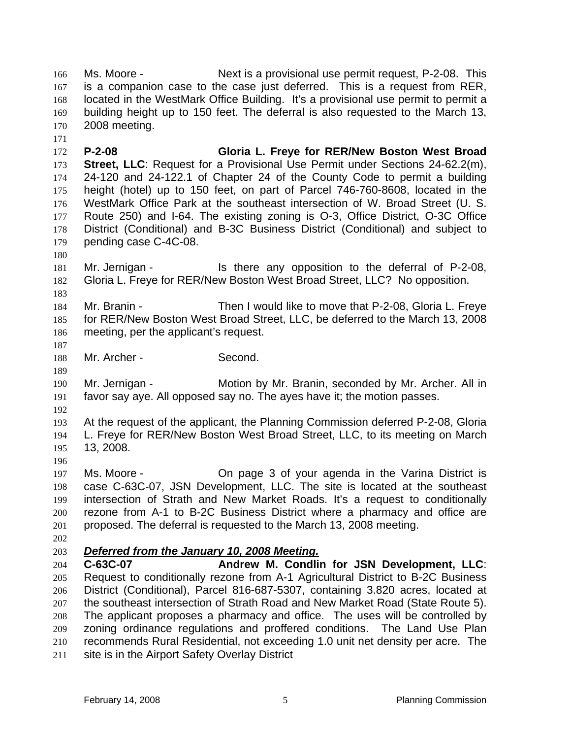Ms. Moore - Next is a provisional use permit request, P-2-08. This is a companion case to the case just deferred. This is a request from RER, located in the WestMark Office Building. It's a provisional use permit to permit a building height up to 150 feet. The deferral is also requested to the March 13, 2008 meeting. 166 167 168 169 170

172 173 174 175 176 177 178 179 **P-2-08 Gloria L. Freye for RER/New Boston West Broad Street, LLC**: Request for a Provisional Use Permit under Sections 24-62.2(m), 24-120 and 24-122.1 of Chapter 24 of the County Code to permit a building height (hotel) up to 150 feet, on part of Parcel 746-760-8608, located in the WestMark Office Park at the southeast intersection of W. Broad Street (U. S. Route 250) and I-64. The existing zoning is O-3, Office District, O-3C Office District (Conditional) and B-3C Business District (Conditional) and subject to pending case C-4C-08.

180

183

171

181 182 Mr. Jernigan - The state of the representation to the deferral of P-2-08, Gloria L. Freye for RER/New Boston West Broad Street, LLC? No opposition.

184 185 186 Mr. Branin - Then I would like to move that P-2-08, Gloria L. Freye for RER/New Boston West Broad Street, LLC, be deferred to the March 13, 2008 meeting, per the applicant's request.

187 188

Mr. Archer - Second.

189

190 191 Mr. Jernigan - Motion by Mr. Branin, seconded by Mr. Archer. All in favor say aye. All opposed say no. The ayes have it; the motion passes.

192

193 194 195 196 At the request of the applicant, the Planning Commission deferred P-2-08, Gloria L. Freye for RER/New Boston West Broad Street, LLC, to its meeting on March 13, 2008.

197 198 199 200 201 Ms. Moore - **Come Come age 3 of your agenda in the Varina District is** case C-63C-07, JSN Development, LLC. The site is located at the southeast intersection of Strath and New Market Roads. It's a request to conditionally rezone from A-1 to B-2C Business District where a pharmacy and office are proposed. The deferral is requested to the March 13, 2008 meeting.

202

## 203 *Deferred from the January 10, 2008 Meeting.*

204 205 206 207 208 209 210 211 **C-63C-07 Andrew M. Condlin for JSN Development, LLC**: Request to conditionally rezone from A-1 Agricultural District to B-2C Business District (Conditional), Parcel 816-687-5307, containing 3.820 acres, located at the southeast intersection of Strath Road and New Market Road (State Route 5). The applicant proposes a pharmacy and office. The uses will be controlled by zoning ordinance regulations and proffered conditions. The Land Use Plan recommends Rural Residential, not exceeding 1.0 unit net density per acre. The site is in the Airport Safety Overlay District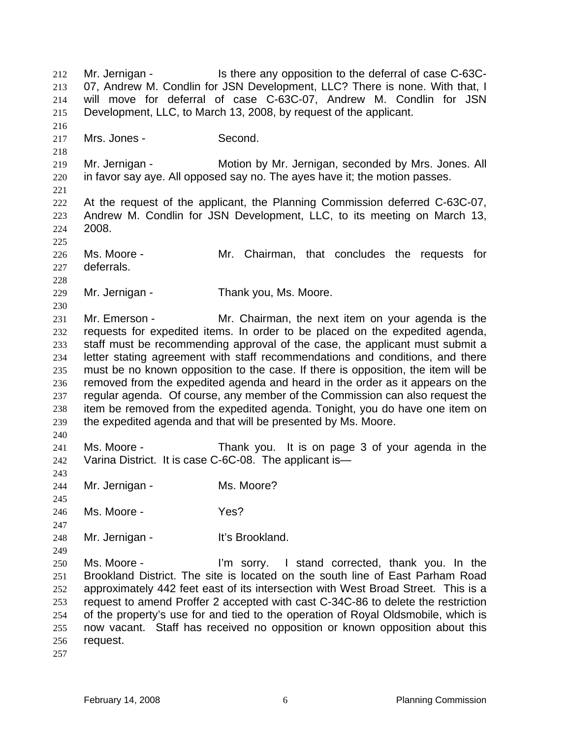Mr. Jernigan - The Is there any opposition to the deferral of case C-63C-07, Andrew M. Condlin for JSN Development, LLC? There is none. With that, I will move for deferral of case C-63C-07, Andrew M. Condlin for JSN Development, LLC, to March 13, 2008, by request of the applicant. 212 213 214 215 216 217 218 219 220 221 222 223 224 225 226 227 228 229 230 231 232 233 234 235 236 237 238 239 240 241 242 243 244 245 246 247 248 249 250 251 252 253 254 255 256 257 Mrs. Jones - Second. Mr. Jernigan - **Motion by Mr. Jernigan, seconded by Mrs. Jones. All** in favor say aye. All opposed say no. The ayes have it; the motion passes. At the request of the applicant, the Planning Commission deferred C-63C-07, Andrew M. Condlin for JSN Development, LLC, to its meeting on March 13, 2008. Ms. Moore - Mr. Chairman, that concludes the requests for deferrals. Mr. Jernigan - Thank you, Ms. Moore. Mr. Emerson - Mr. Chairman, the next item on your agenda is the requests for expedited items. In order to be placed on the expedited agenda, staff must be recommending approval of the case, the applicant must submit a letter stating agreement with staff recommendations and conditions, and there must be no known opposition to the case. If there is opposition, the item will be removed from the expedited agenda and heard in the order as it appears on the regular agenda. Of course, any member of the Commission can also request the item be removed from the expedited agenda. Tonight, you do have one item on the expedited agenda and that will be presented by Ms. Moore. Ms. Moore - Thank you. It is on page 3 of your agenda in the Varina District. It is case C-6C-08. The applicant is— Mr. Jernigan - Ms. Moore? Ms. Moore - Yes? Mr. Jernigan - It's Brookland. Ms. Moore - I'm sorry. I stand corrected, thank you. In the Brookland District. The site is located on the south line of East Parham Road approximately 442 feet east of its intersection with West Broad Street. This is a request to amend Proffer 2 accepted with cast C-34C-86 to delete the restriction of the property's use for and tied to the operation of Royal Oldsmobile, which is now vacant. Staff has received no opposition or known opposition about this request.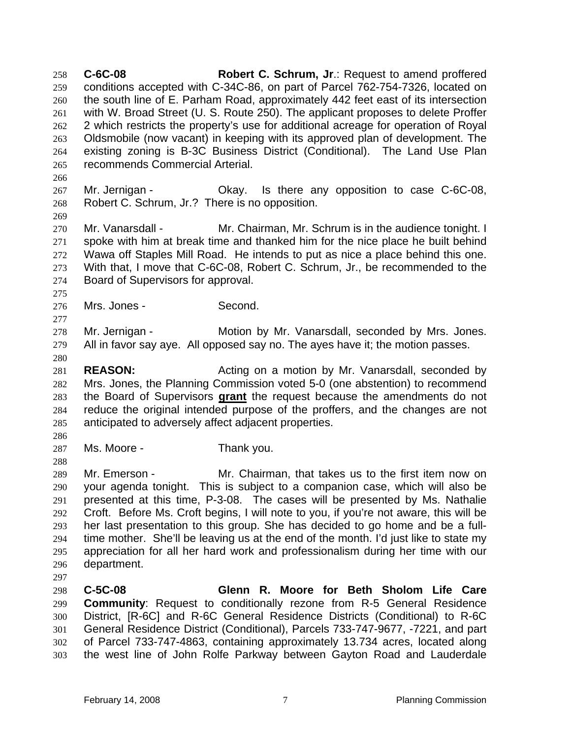**C-6C-08 Robert C. Schrum, Jr**.: Request to amend proffered conditions accepted with C-34C-86, on part of Parcel 762-754-7326, located on the south line of E. Parham Road, approximately 442 feet east of its intersection with W. Broad Street (U. S. Route 250). The applicant proposes to delete Proffer 2 which restricts the property's use for additional acreage for operation of Royal Oldsmobile (now vacant) in keeping with its approved plan of development. The existing zoning is B-3C Business District (Conditional). The Land Use Plan recommends Commercial Arterial. 258 259 260 261 262 263 264 265

266

269

275

277

280

267 268 Mr. Jernigan - Ckay. Is there any opposition to case C-6C-08, Robert C. Schrum, Jr.? There is no opposition.

270 271 272 273 274 Mr. Vanarsdall - Mr. Chairman, Mr. Schrum is in the audience tonight. I spoke with him at break time and thanked him for the nice place he built behind Wawa off Staples Mill Road. He intends to put as nice a place behind this one. With that, I move that C-6C-08, Robert C. Schrum, Jr., be recommended to the Board of Supervisors for approval.

276 Mrs. Jones - Second.

278 279 Mr. Jernigan - Motion by Mr. Vanarsdall, seconded by Mrs. Jones. All in favor say aye. All opposed say no. The ayes have it; the motion passes.

281 282 **REASON:** Acting on a motion by Mr. Vanarsdall, seconded by Mrs. Jones, the Planning Commission voted 5-0 (one abstention) to recommend the Board of Supervisors **grant** the request because the amendments do not reduce the original intended purpose of the proffers, and the changes are not anticipated to adversely affect adjacent properties. 283 284 285

- 286
- 287 Ms. Moore - Thank you.

288

289 290 291 292 293 294 295 296 Mr. Emerson - Mr. Chairman, that takes us to the first item now on your agenda tonight. This is subject to a companion case, which will also be presented at this time, P-3-08. The cases will be presented by Ms. Nathalie Croft. Before Ms. Croft begins, I will note to you, if you're not aware, this will be her last presentation to this group. She has decided to go home and be a fulltime mother. She'll be leaving us at the end of the month. I'd just like to state my appreciation for all her hard work and professionalism during her time with our department.

297

298 299 300 301 302 303 **C-5C-08 Glenn R. Moore for Beth Sholom Life Care Community**: Request to conditionally rezone from R-5 General Residence District, [R-6C] and R-6C General Residence Districts (Conditional) to R-6C General Residence District (Conditional), Parcels 733-747-9677, -7221, and part of Parcel 733-747-4863, containing approximately 13.734 acres, located along the west line of John Rolfe Parkway between Gayton Road and Lauderdale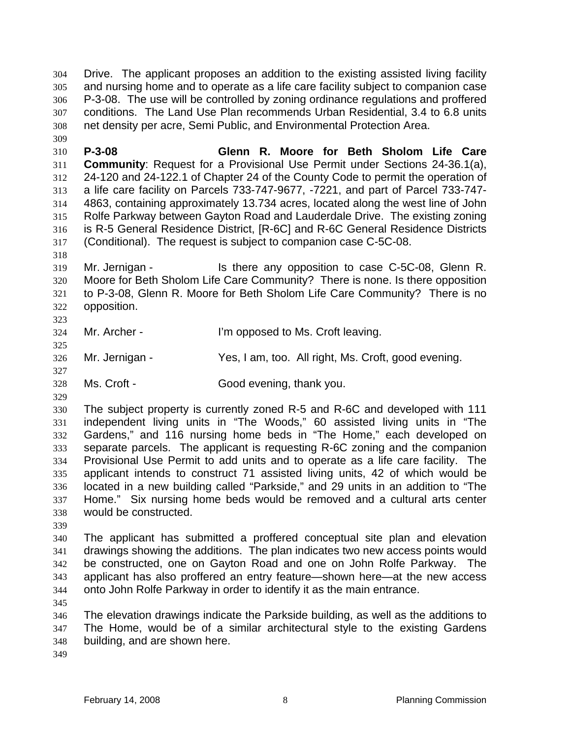Drive. The applicant proposes an addition to the existing assisted living facility and nursing home and to operate as a life care facility subject to companion case P-3-08. The use will be controlled by zoning ordinance regulations and proffered conditions. The Land Use Plan recommends Urban Residential, 3.4 to 6.8 units net density per acre, Semi Public, and Environmental Protection Area. 304 305 306 307 308

310 311 312 313 314 315 316 317 **P-3-08 Glenn R. Moore for Beth Sholom Life Care Community**: Request for a Provisional Use Permit under Sections 24-36.1(a), 24-120 and 24-122.1 of Chapter 24 of the County Code to permit the operation of a life care facility on Parcels 733-747-9677, -7221, and part of Parcel 733-747- 4863, containing approximately 13.734 acres, located along the west line of John Rolfe Parkway between Gayton Road and Lauderdale Drive. The existing zoning is R-5 General Residence District, [R-6C] and R-6C General Residence Districts (Conditional). The request is subject to companion case C-5C-08.

319 320 321 322 323 Mr. Jernigan - The State any opposition to case C-5C-08, Glenn R. Moore for Beth Sholom Life Care Community? There is none. Is there opposition to P-3-08, Glenn R. Moore for Beth Sholom Life Care Community? There is no opposition.

324 Mr. Archer - The U'm opposed to Ms. Croft leaving.

326 Mr. Jernigan - Yes, I am, too. All right, Ms. Croft, good evening.

328 Ms. Croft - Good evening, thank you.

329

325

327

309

318

330 331 332 333 334 335 336 337 338 The subject property is currently zoned R-5 and R-6C and developed with 111 independent living units in "The Woods," 60 assisted living units in "The Gardens," and 116 nursing home beds in "The Home," each developed on separate parcels. The applicant is requesting R-6C zoning and the companion Provisional Use Permit to add units and to operate as a life care facility. The applicant intends to construct 71 assisted living units, 42 of which would be located in a new building called "Parkside," and 29 units in an addition to "The Home." Six nursing home beds would be removed and a cultural arts center would be constructed.

339

340 341 342 343 344 The applicant has submitted a proffered conceptual site plan and elevation drawings showing the additions. The plan indicates two new access points would be constructed, one on Gayton Road and one on John Rolfe Parkway. The applicant has also proffered an entry feature—shown here—at the new access onto John Rolfe Parkway in order to identify it as the main entrance.

345

346 347 348 The elevation drawings indicate the Parkside building, as well as the additions to The Home, would be of a similar architectural style to the existing Gardens building, and are shown here.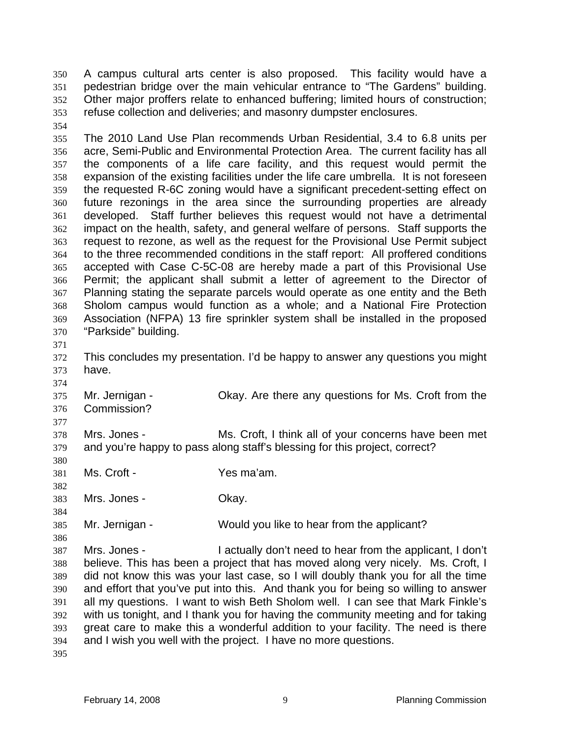A campus cultural arts center is also proposed. This facility would have a pedestrian bridge over the main vehicular entrance to "The Gardens" building. Other major proffers relate to enhanced buffering; limited hours of construction; refuse collection and deliveries; and masonry dumpster enclosures. 350 351 352 353

354

355 356 357 358 359 360 361 362 363 364 365 366 367 368 369 370 The 2010 Land Use Plan recommends Urban Residential, 3.4 to 6.8 units per acre, Semi-Public and Environmental Protection Area. The current facility has all the components of a life care facility, and this request would permit the expansion of the existing facilities under the life care umbrella. It is not foreseen the requested R-6C zoning would have a significant precedent-setting effect on future rezonings in the area since the surrounding properties are already developed. Staff further believes this request would not have a detrimental impact on the health, safety, and general welfare of persons. Staff supports the request to rezone, as well as the request for the Provisional Use Permit subject to the three recommended conditions in the staff report: All proffered conditions accepted with Case C-5C-08 are hereby made a part of this Provisional Use Permit; the applicant shall submit a letter of agreement to the Director of Planning stating the separate parcels would operate as one entity and the Beth Sholom campus would function as a whole; and a National Fire Protection Association (NFPA) 13 fire sprinkler system shall be installed in the proposed "Parkside" building.

371

374

377

380

382

384

386

372 373 This concludes my presentation. I'd be happy to answer any questions you might have.

375 376 Mr. Jernigan - Ckay. Are there any questions for Ms. Croft from the Commission?

378 379 Mrs. Jones - Ms. Croft, I think all of your concerns have been met and you're happy to pass along staff's blessing for this project, correct?

381 Ms. Croft - The Yes ma'am.

383 Mrs. Jones - Chay.

385 Mr. Jernigan - Would you like to hear from the applicant?

387 388 389 390 391 392 393 394 Mrs. Jones - I actually don't need to hear from the applicant, I don't believe. This has been a project that has moved along very nicely. Ms. Croft, I did not know this was your last case, so I will doubly thank you for all the time and effort that you've put into this. And thank you for being so willing to answer all my questions. I want to wish Beth Sholom well. I can see that Mark Finkle's with us tonight, and I thank you for having the community meeting and for taking great care to make this a wonderful addition to your facility. The need is there and I wish you well with the project. I have no more questions.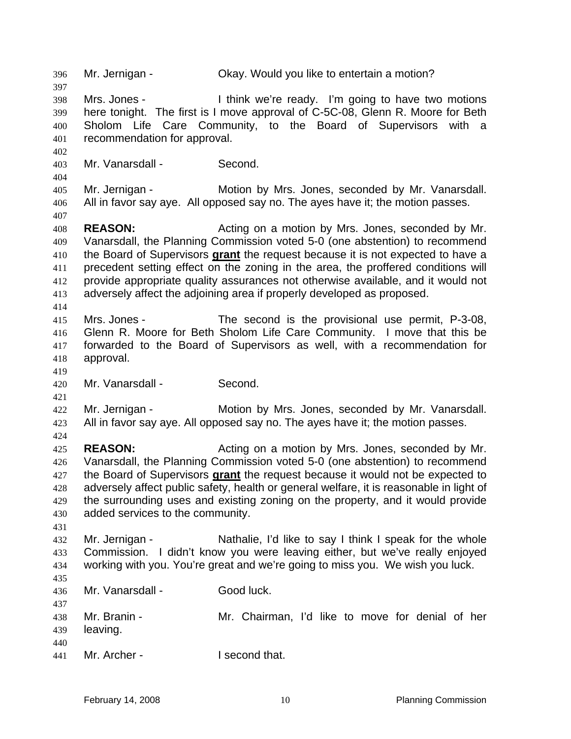396 Mr. Jernigan - Okay. Would you like to entertain a motion? 397 398 399 400 401 402 403 404 405 406 407 408 409 Mrs. Jones - I think we're ready. I'm going to have two motions here tonight. The first is I move approval of C-5C-08, Glenn R. Moore for Beth Sholom Life Care Community, to the Board of Supervisors with a recommendation for approval. Mr. Vanarsdall - Second. Mr. Jernigan - **Motion by Mrs. Jones, seconded by Mr. Vanarsdall.** All in favor say aye. All opposed say no. The ayes have it; the motion passes. **REASON:** Acting on a motion by Mrs. Jones, seconded by Mr. Vanarsdall, the Planning Commission voted 5-0 (one abstention) to recommend the Board of Supervisors **grant** the request because it is not expected to have a precedent setting effect on the zoning in the area, the proffered conditions will provide appropriate quality assurances not otherwise available, and it would not adversely affect the adjoining area if properly developed as proposed. 410 411 412 413 414 415 416 417 418 419 420 421 422 423 424 425 426 Mrs. Jones - The second is the provisional use permit, P-3-08, Glenn R. Moore for Beth Sholom Life Care Community. I move that this be forwarded to the Board of Supervisors as well, with a recommendation for approval. Mr. Vanarsdall - Second. Mr. Jernigan - Motion by Mrs. Jones, seconded by Mr. Vanarsdall. All in favor say aye. All opposed say no. The ayes have it; the motion passes. **REASON:** Acting on a motion by Mrs. Jones, seconded by Mr. Vanarsdall, the Planning Commission voted 5-0 (one abstention) to recommend the Board of Supervisors **grant** the request because it would not be expected to adversely affect public safety, health or general welfare, it is reasonable in light of the surrounding uses and existing zoning on the property, and it would provide added services to the community. 427 428 429 430 431 432 433 434 435 436 437 438 439 440 441 Mr. Jernigan - Nathalie, I'd like to say I think I speak for the whole Commission. I didn't know you were leaving either, but we've really enjoyed working with you. You're great and we're going to miss you. We wish you luck. Mr. Vanarsdall - Good luck. Mr. Branin - The Mr. Chairman, I'd like to move for denial of her leaving. Mr. Archer - I second that.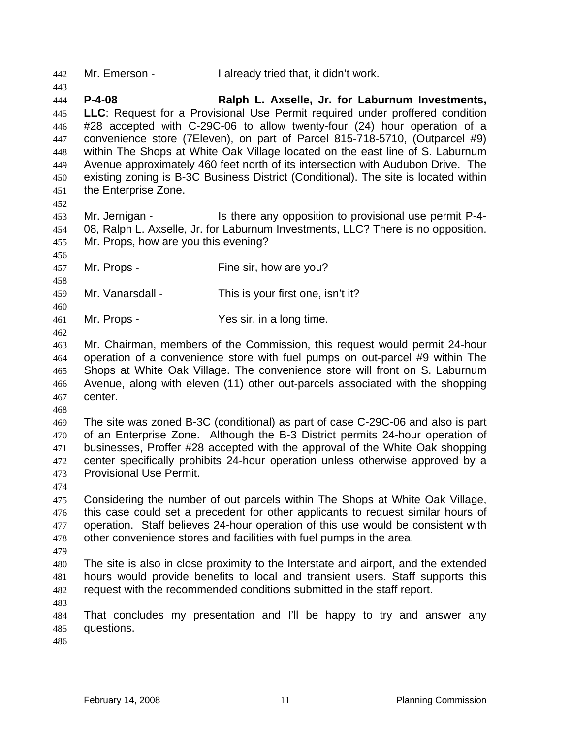442 Mr. Emerson - I already tried that, it didn't work.

444 445 446 447 448 449 450 451 **P-4-08 Ralph L. Axselle, Jr. for Laburnum Investments, LLC**: Request for a Provisional Use Permit required under proffered condition #28 accepted with C-29C-06 to allow twenty-four (24) hour operation of a convenience store (7Eleven), on part of Parcel 815-718-5710, (Outparcel #9) within The Shops at White Oak Village located on the east line of S. Laburnum Avenue approximately 460 feet north of its intersection with Audubon Drive. The existing zoning is B-3C Business District (Conditional). The site is located within the Enterprise Zone.

452

456

458

460

443

453 454 455 Mr. Jernigan - The Is there any opposition to provisional use permit P-4-08, Ralph L. Axselle, Jr. for Laburnum Investments, LLC? There is no opposition. Mr. Props, how are you this evening?

457 Mr. Props - Fine sir, how are you?

459 Mr. Vanarsdall - This is your first one, isn't it?

461 Mr. Props - Yes sir, in a long time.

462

463 464 465 466 467 Mr. Chairman, members of the Commission, this request would permit 24-hour operation of a convenience store with fuel pumps on out-parcel #9 within The Shops at White Oak Village. The convenience store will front on S. Laburnum Avenue, along with eleven (11) other out-parcels associated with the shopping center.

468

469 470 471 472 473 The site was zoned B-3C (conditional) as part of case C-29C-06 and also is part of an Enterprise Zone. Although the B-3 District permits 24-hour operation of businesses, Proffer #28 accepted with the approval of the White Oak shopping center specifically prohibits 24-hour operation unless otherwise approved by a Provisional Use Permit.

474

475 476 477 478 479 Considering the number of out parcels within The Shops at White Oak Village, this case could set a precedent for other applicants to request similar hours of operation. Staff believes 24-hour operation of this use would be consistent with other convenience stores and facilities with fuel pumps in the area.

480 481 482 The site is also in close proximity to the Interstate and airport, and the extended hours would provide benefits to local and transient users. Staff supports this request with the recommended conditions submitted in the staff report.

483

484 485 That concludes my presentation and I'll be happy to try and answer any questions.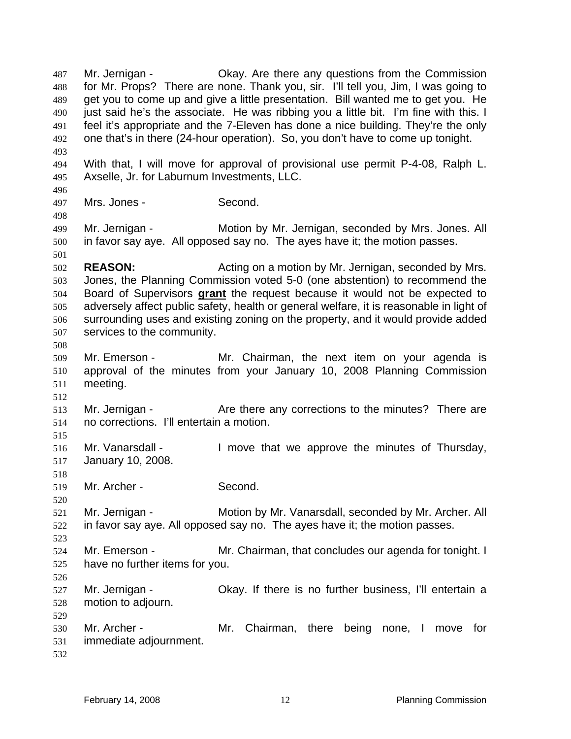Mr. Jernigan - Ckay. Are there any questions from the Commission for Mr. Props? There are none. Thank you, sir. I'll tell you, Jim, I was going to get you to come up and give a little presentation. Bill wanted me to get you. He just said he's the associate. He was ribbing you a little bit. I'm fine with this. I feel it's appropriate and the 7-Eleven has done a nice building. They're the only one that's in there (24-hour operation). So, you don't have to come up tonight. 487 488 489 490 491 492 493 494 495 496 497 498 499 500 501 502 503 With that, I will move for approval of provisional use permit P-4-08, Ralph L. Axselle, Jr. for Laburnum Investments, LLC. Mrs. Jones - Second. Mr. Jernigan - Motion by Mr. Jernigan, seconded by Mrs. Jones. All in favor say aye. All opposed say no. The ayes have it; the motion passes. **REASON:** Acting on a motion by Mr. Jernigan, seconded by Mrs. Jones, the Planning Commission voted 5-0 (one abstention) to recommend the Board of Supervisors **grant** the request because it would not be expected to adversely affect public safety, health or general welfare, it is reasonable in light of surrounding uses and existing zoning on the property, and it would provide added services to the community. 504 505 506 507 508 509 510 511 512 513 514 515 516 517 518 519 520 521 522 523 524 525 526 527 528 529 530 531 532 Mr. Emerson - The Mr. Chairman, the next item on your agenda is approval of the minutes from your January 10, 2008 Planning Commission meeting. Mr. Jernigan - Are there any corrections to the minutes? There are no corrections. I'll entertain a motion. Mr. Vanarsdall - The limove that we approve the minutes of Thursday, January 10, 2008. Mr. Archer - Second. Mr. Jernigan - Motion by Mr. Vanarsdall, seconded by Mr. Archer. All in favor say aye. All opposed say no. The ayes have it; the motion passes. Mr. Emerson - The Mr. Chairman, that concludes our agenda for tonight. I have no further items for you. Mr. Jernigan - Ckay. If there is no further business, I'll entertain a motion to adjourn. Mr. Archer - The Mr. Chairman, there being none, I move for immediate adjournment.